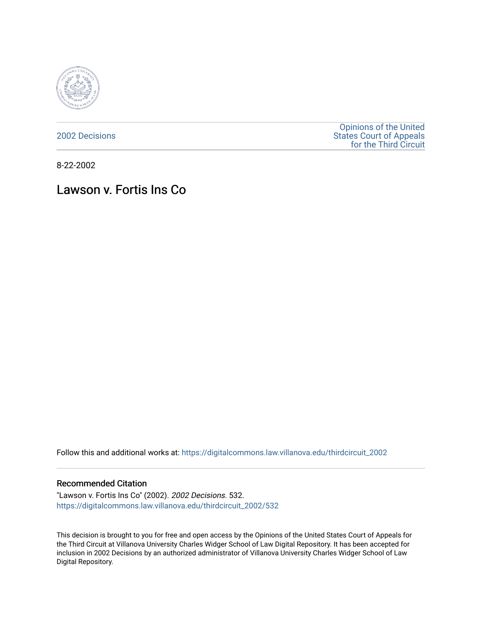

[2002 Decisions](https://digitalcommons.law.villanova.edu/thirdcircuit_2002)

[Opinions of the United](https://digitalcommons.law.villanova.edu/thirdcircuit)  [States Court of Appeals](https://digitalcommons.law.villanova.edu/thirdcircuit)  [for the Third Circuit](https://digitalcommons.law.villanova.edu/thirdcircuit) 

8-22-2002

# Lawson v. Fortis Ins Co

Follow this and additional works at: [https://digitalcommons.law.villanova.edu/thirdcircuit\\_2002](https://digitalcommons.law.villanova.edu/thirdcircuit_2002?utm_source=digitalcommons.law.villanova.edu%2Fthirdcircuit_2002%2F532&utm_medium=PDF&utm_campaign=PDFCoverPages) 

# Recommended Citation

"Lawson v. Fortis Ins Co" (2002). 2002 Decisions. 532. [https://digitalcommons.law.villanova.edu/thirdcircuit\\_2002/532](https://digitalcommons.law.villanova.edu/thirdcircuit_2002/532?utm_source=digitalcommons.law.villanova.edu%2Fthirdcircuit_2002%2F532&utm_medium=PDF&utm_campaign=PDFCoverPages)

This decision is brought to you for free and open access by the Opinions of the United States Court of Appeals for the Third Circuit at Villanova University Charles Widger School of Law Digital Repository. It has been accepted for inclusion in 2002 Decisions by an authorized administrator of Villanova University Charles Widger School of Law Digital Repository.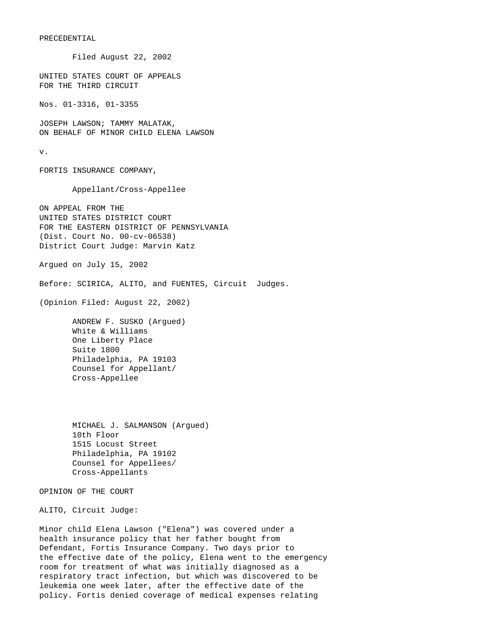### PRECEDENTIAL

 Filed August 22, 2002 UNITED STATES COURT OF APPEALS FOR THE THIRD CIRCUIT Nos. 01-3316, 01-3355 JOSEPH LAWSON; TAMMY MALATAK, ON BEHALF OF MINOR CHILD ELENA LAWSON v. FORTIS INSURANCE COMPANY, Appellant/Cross-Appellee ON APPEAL FROM THE UNITED STATES DISTRICT COURT FOR THE EASTERN DISTRICT OF PENNSYLVANIA (Dist. Court No. 00-cv-06538) District Court Judge: Marvin Katz Argued on July 15, 2002 Before: SCIRICA, ALITO, and FUENTES, Circuit Judges. (Opinion Filed: August 22, 2002) ANDREW F. SUSKO (Argued) White & Williams One Liberty Place Suite 1800 Philadelphia, PA 19103 Counsel for Appellant/ Cross-Appellee MICHAEL J. SALMANSON (Argued) 10th Floor 1515 Locust Street Philadelphia, PA 19102 Counsel for Appellees/ Cross-Appellants OPINION OF THE COURT ALITO, Circuit Judge: Minor child Elena Lawson ("Elena") was covered under a health insurance policy that her father bought from Defendant, Fortis Insurance Company. Two days prior to

the effective date of the policy, Elena went to the emergency room for treatment of what was initially diagnosed as a respiratory tract infection, but which was discovered to be leukemia one week later, after the effective date of the policy. Fortis denied coverage of medical expenses relating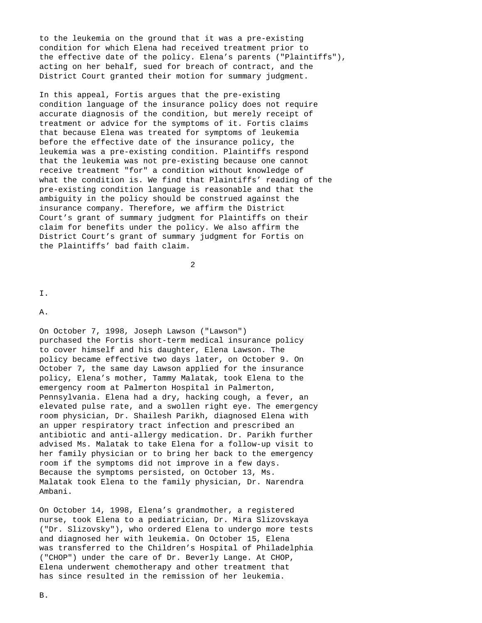to the leukemia on the ground that it was a pre-existing condition for which Elena had received treatment prior to the effective date of the policy. Elena's parents ("Plaintiffs"), acting on her behalf, sued for breach of contract, and the District Court granted their motion for summary judgment.

In this appeal, Fortis argues that the pre-existing condition language of the insurance policy does not require accurate diagnosis of the condition, but merely receipt of treatment or advice for the symptoms of it. Fortis claims that because Elena was treated for symptoms of leukemia before the effective date of the insurance policy, the leukemia was a pre-existing condition. Plaintiffs respond that the leukemia was not pre-existing because one cannot receive treatment "for" a condition without knowledge of what the condition is. We find that Plaintiffs' reading of the pre-existing condition language is reasonable and that the ambiguity in the policy should be construed against the insurance company. Therefore, we affirm the District Court's grant of summary judgment for Plaintiffs on their claim for benefits under the policy. We also affirm the District Court's grant of summary judgment for Fortis on the Plaintiffs' bad faith claim.

2

I.

A.

On October 7, 1998, Joseph Lawson ("Lawson") purchased the Fortis short-term medical insurance policy to cover himself and his daughter, Elena Lawson. The policy became effective two days later, on October 9. On October 7, the same day Lawson applied for the insurance policy, Elena's mother, Tammy Malatak, took Elena to the emergency room at Palmerton Hospital in Palmerton, Pennsylvania. Elena had a dry, hacking cough, a fever, an elevated pulse rate, and a swollen right eye. The emergency room physician, Dr. Shailesh Parikh, diagnosed Elena with an upper respiratory tract infection and prescribed an antibiotic and anti-allergy medication. Dr. Parikh further advised Ms. Malatak to take Elena for a follow-up visit to her family physician or to bring her back to the emergency room if the symptoms did not improve in a few days. Because the symptoms persisted, on October 13, Ms. Malatak took Elena to the family physician, Dr. Narendra Ambani.

On October 14, 1998, Elena's grandmother, a registered nurse, took Elena to a pediatrician, Dr. Mira Slizovskaya ("Dr. Slizovsky"), who ordered Elena to undergo more tests and diagnosed her with leukemia. On October 15, Elena was transferred to the Children's Hospital of Philadelphia ("CHOP") under the care of Dr. Beverly Lange. At CHOP, Elena underwent chemotherapy and other treatment that has since resulted in the remission of her leukemia.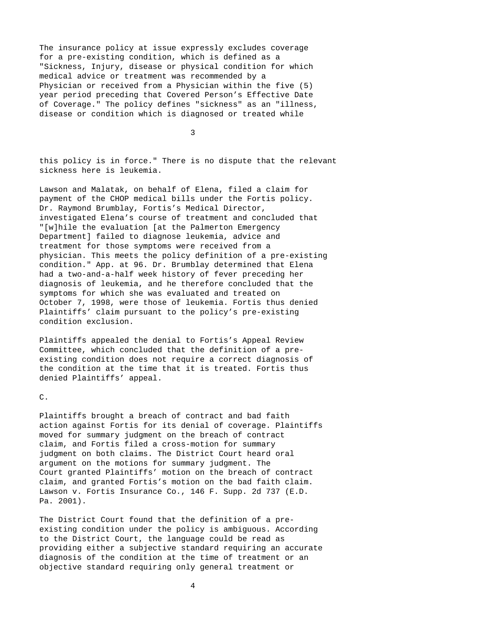The insurance policy at issue expressly excludes coverage for a pre-existing condition, which is defined as a "Sickness, Injury, disease or physical condition for which medical advice or treatment was recommended by a Physician or received from a Physician within the five (5) year period preceding that Covered Person's Effective Date of Coverage." The policy defines "sickness" as an "illness, disease or condition which is diagnosed or treated while

3

this policy is in force." There is no dispute that the relevant sickness here is leukemia.

Lawson and Malatak, on behalf of Elena, filed a claim for payment of the CHOP medical bills under the Fortis policy. Dr. Raymond Brumblay, Fortis's Medical Director, investigated Elena's course of treatment and concluded that "[w]hile the evaluation [at the Palmerton Emergency Department] failed to diagnose leukemia, advice and treatment for those symptoms were received from a physician. This meets the policy definition of a pre-existing condition." App. at 96. Dr. Brumblay determined that Elena had a two-and-a-half week history of fever preceding her diagnosis of leukemia, and he therefore concluded that the symptoms for which she was evaluated and treated on October 7, 1998, were those of leukemia. Fortis thus denied Plaintiffs' claim pursuant to the policy's pre-existing condition exclusion.

Plaintiffs appealed the denial to Fortis's Appeal Review Committee, which concluded that the definition of a preexisting condition does not require a correct diagnosis of the condition at the time that it is treated. Fortis thus denied Plaintiffs' appeal.

#### C.

Plaintiffs brought a breach of contract and bad faith action against Fortis for its denial of coverage. Plaintiffs moved for summary judgment on the breach of contract claim, and Fortis filed a cross-motion for summary judgment on both claims. The District Court heard oral argument on the motions for summary judgment. The Court granted Plaintiffs' motion on the breach of contract claim, and granted Fortis's motion on the bad faith claim. Lawson v. Fortis Insurance Co., 146 F. Supp. 2d 737 (E.D. Pa. 2001).

The District Court found that the definition of a preexisting condition under the policy is ambiguous. According to the District Court, the language could be read as providing either a subjective standard requiring an accurate diagnosis of the condition at the time of treatment or an objective standard requiring only general treatment or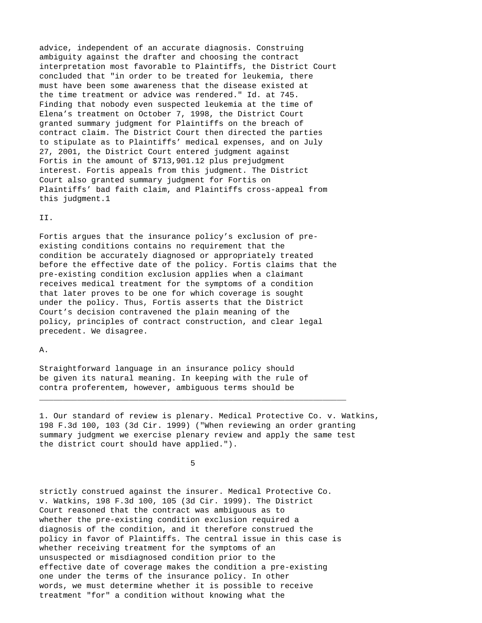advice, independent of an accurate diagnosis. Construing ambiguity against the drafter and choosing the contract interpretation most favorable to Plaintiffs, the District Court concluded that "in order to be treated for leukemia, there must have been some awareness that the disease existed at the time treatment or advice was rendered." Id. at 745. Finding that nobody even suspected leukemia at the time of Elena's treatment on October 7, 1998, the District Court granted summary judgment for Plaintiffs on the breach of contract claim. The District Court then directed the parties to stipulate as to Plaintiffs' medical expenses, and on July 27, 2001, the District Court entered judgment against Fortis in the amount of \$713,901.12 plus prejudgment interest. Fortis appeals from this judgment. The District Court also granted summary judgment for Fortis on Plaintiffs' bad faith claim, and Plaintiffs cross-appeal from this judgment.1

II.

Fortis argues that the insurance policy's exclusion of preexisting conditions contains no requirement that the condition be accurately diagnosed or appropriately treated before the effective date of the policy. Fortis claims that the pre-existing condition exclusion applies when a claimant receives medical treatment for the symptoms of a condition that later proves to be one for which coverage is sought under the policy. Thus, Fortis asserts that the District Court's decision contravened the plain meaning of the policy, principles of contract construction, and clear legal precedent. We disagree.

A.

Straightforward language in an insurance policy should be given its natural meaning. In keeping with the rule of contra proferentem, however, ambiguous terms should be

1. Our standard of review is plenary. Medical Protective Co. v. Watkins, 198 F.3d 100, 103 (3d Cir. 1999) ("When reviewing an order granting summary judgment we exercise plenary review and apply the same test the district court should have applied.").

 $\sim$  5  $\sim$  5  $\sim$  5  $\sim$  5  $\sim$  5  $\sim$  5  $\sim$  5  $\sim$  5  $\sim$  5  $\sim$  5  $\sim$  5  $\sim$  5  $\sim$  5  $\sim$  5  $\sim$  5  $\sim$  5  $\sim$  5  $\sim$  5  $\sim$  5  $\sim$  5  $\sim$  5  $\sim$  5  $\sim$  5  $\sim$  5  $\sim$  5  $\sim$  5  $\sim$  5  $\sim$  5  $\sim$  5  $\sim$  5  $\sim$  5  $\sim$ 

 $\_$  ,  $\_$  ,  $\_$  ,  $\_$  ,  $\_$  ,  $\_$  ,  $\_$  ,  $\_$  ,  $\_$  ,  $\_$  ,  $\_$  ,  $\_$  ,  $\_$  ,  $\_$  ,  $\_$  ,  $\_$  ,  $\_$  ,  $\_$  ,  $\_$  ,  $\_$  ,  $\_$  ,  $\_$  ,  $\_$  ,  $\_$  ,  $\_$  ,  $\_$  ,  $\_$  ,  $\_$  ,  $\_$  ,  $\_$  ,  $\_$  ,  $\_$  ,  $\_$  ,  $\_$  ,  $\_$  ,  $\_$  ,  $\_$  ,

strictly construed against the insurer. Medical Protective Co. v. Watkins, 198 F.3d 100, 105 (3d Cir. 1999). The District Court reasoned that the contract was ambiguous as to whether the pre-existing condition exclusion required a diagnosis of the condition, and it therefore construed the policy in favor of Plaintiffs. The central issue in this case is whether receiving treatment for the symptoms of an unsuspected or misdiagnosed condition prior to the effective date of coverage makes the condition a pre-existing one under the terms of the insurance policy. In other words, we must determine whether it is possible to receive treatment "for" a condition without knowing what the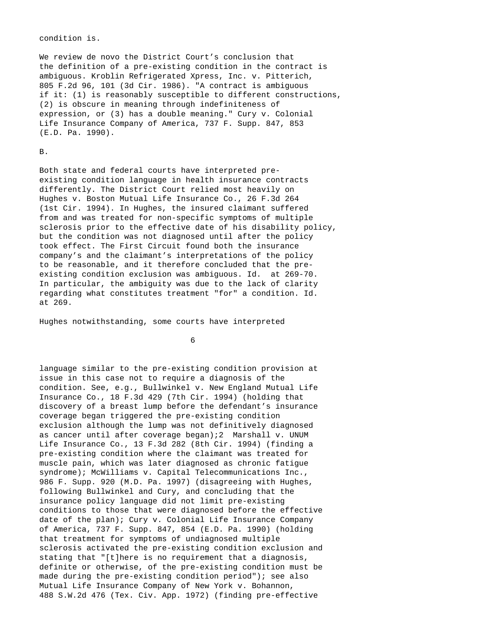#### condition is.

We review de novo the District Court's conclusion that the definition of a pre-existing condition in the contract is ambiguous. Kroblin Refrigerated Xpress, Inc. v. Pitterich, 805 F.2d 96, 101 (3d Cir. 1986). "A contract is ambiguous if it: (1) is reasonably susceptible to different constructions, (2) is obscure in meaning through indefiniteness of expression, or (3) has a double meaning." Cury v. Colonial Life Insurance Company of America, 737 F. Supp. 847, 853 (E.D. Pa. 1990).

## B.

Both state and federal courts have interpreted preexisting condition language in health insurance contracts differently. The District Court relied most heavily on Hughes v. Boston Mutual Life Insurance Co., 26 F.3d 264 (1st Cir. 1994). In Hughes, the insured claimant suffered from and was treated for non-specific symptoms of multiple sclerosis prior to the effective date of his disability policy, but the condition was not diagnosed until after the policy took effect. The First Circuit found both the insurance company's and the claimant's interpretations of the policy to be reasonable, and it therefore concluded that the preexisting condition exclusion was ambiguous. Id. at 269-70. In particular, the ambiguity was due to the lack of clarity regarding what constitutes treatment "for" a condition. Id. at 269.

Hughes notwithstanding, some courts have interpreted

 $\overline{6}$ 

language similar to the pre-existing condition provision at issue in this case not to require a diagnosis of the condition. See, e.g., Bullwinkel v. New England Mutual Life Insurance Co., 18 F.3d 429 (7th Cir. 1994) (holding that discovery of a breast lump before the defendant's insurance coverage began triggered the pre-existing condition exclusion although the lump was not definitively diagnosed as cancer until after coverage began);2 Marshall v. UNUM Life Insurance Co., 13 F.3d 282 (8th Cir. 1994) (finding a pre-existing condition where the claimant was treated for muscle pain, which was later diagnosed as chronic fatigue syndrome); McWilliams v. Capital Telecommunications Inc., 986 F. Supp. 920 (M.D. Pa. 1997) (disagreeing with Hughes, following Bullwinkel and Cury, and concluding that the insurance policy language did not limit pre-existing conditions to those that were diagnosed before the effective date of the plan); Cury v. Colonial Life Insurance Company of America, 737 F. Supp. 847, 854 (E.D. Pa. 1990) (holding that treatment for symptoms of undiagnosed multiple sclerosis activated the pre-existing condition exclusion and stating that "[t]here is no requirement that a diagnosis, definite or otherwise, of the pre-existing condition must be made during the pre-existing condition period"); see also Mutual Life Insurance Company of New York v. Bohannon, 488 S.W.2d 476 (Tex. Civ. App. 1972) (finding pre-effective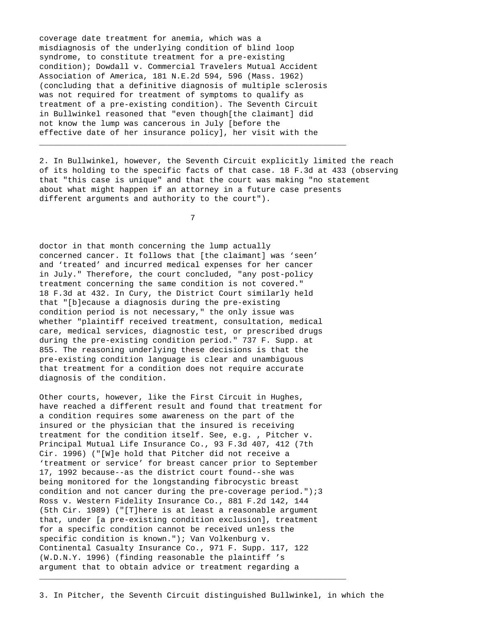coverage date treatment for anemia, which was a misdiagnosis of the underlying condition of blind loop syndrome, to constitute treatment for a pre-existing condition); Dowdall v. Commercial Travelers Mutual Accident Association of America, 181 N.E.2d 594, 596 (Mass. 1962) (concluding that a definitive diagnosis of multiple sclerosis was not required for treatment of symptoms to qualify as treatment of a pre-existing condition). The Seventh Circuit in Bullwinkel reasoned that "even though[the claimant] did not know the lump was cancerous in July [before the effective date of her insurance policy], her visit with the

2. In Bullwinkel, however, the Seventh Circuit explicitly limited the reach of its holding to the specific facts of that case. 18 F.3d at 433 (observing that "this case is unique" and that the court was making "no statement about what might happen if an attorney in a future case presents different arguments and authority to the court").

7

 $\_$  ,  $\_$  ,  $\_$  ,  $\_$  ,  $\_$  ,  $\_$  ,  $\_$  ,  $\_$  ,  $\_$  ,  $\_$  ,  $\_$  ,  $\_$  ,  $\_$  ,  $\_$  ,  $\_$  ,  $\_$  ,  $\_$  ,  $\_$  ,  $\_$  ,  $\_$  ,  $\_$  ,  $\_$  ,  $\_$  ,  $\_$  ,  $\_$  ,  $\_$  ,  $\_$  ,  $\_$  ,  $\_$  ,  $\_$  ,  $\_$  ,  $\_$  ,  $\_$  ,  $\_$  ,  $\_$  ,  $\_$  ,  $\_$  ,

doctor in that month concerning the lump actually concerned cancer. It follows that [the claimant] was 'seen' and 'treated' and incurred medical expenses for her cancer in July." Therefore, the court concluded, "any post-policy treatment concerning the same condition is not covered." 18 F.3d at 432. In Cury, the District Court similarly held that "[b]ecause a diagnosis during the pre-existing condition period is not necessary," the only issue was whether "plaintiff received treatment, consultation, medical care, medical services, diagnostic test, or prescribed drugs during the pre-existing condition period." 737 F. Supp. at 855. The reasoning underlying these decisions is that the pre-existing condition language is clear and unambiguous that treatment for a condition does not require accurate diagnosis of the condition.

Other courts, however, like the First Circuit in Hughes, have reached a different result and found that treatment for a condition requires some awareness on the part of the insured or the physician that the insured is receiving treatment for the condition itself. See, e.g. , Pitcher v. Principal Mutual Life Insurance Co., 93 F.3d 407, 412 (7th Cir. 1996) ("[W]e hold that Pitcher did not receive a 'treatment or service' for breast cancer prior to September 17, 1992 because--as the district court found--she was being monitored for the longstanding fibrocystic breast condition and not cancer during the pre-coverage period.");3 Ross v. Western Fidelity Insurance Co., 881 F.2d 142, 144 (5th Cir. 1989) ("[T]here is at least a reasonable argument that, under [a pre-existing condition exclusion], treatment for a specific condition cannot be received unless the specific condition is known."); Van Volkenburg v. Continental Casualty Insurance Co., 971 F. Supp. 117, 122 (W.D.N.Y. 1996) (finding reasonable the plaintiff 's argument that to obtain advice or treatment regarding a

 $\_$  ,  $\_$  ,  $\_$  ,  $\_$  ,  $\_$  ,  $\_$  ,  $\_$  ,  $\_$  ,  $\_$  ,  $\_$  ,  $\_$  ,  $\_$  ,  $\_$  ,  $\_$  ,  $\_$  ,  $\_$  ,  $\_$  ,  $\_$  ,  $\_$  ,  $\_$  ,  $\_$  ,  $\_$  ,  $\_$  ,  $\_$  ,  $\_$  ,  $\_$  ,  $\_$  ,  $\_$  ,  $\_$  ,  $\_$  ,  $\_$  ,  $\_$  ,  $\_$  ,  $\_$  ,  $\_$  ,  $\_$  ,  $\_$  ,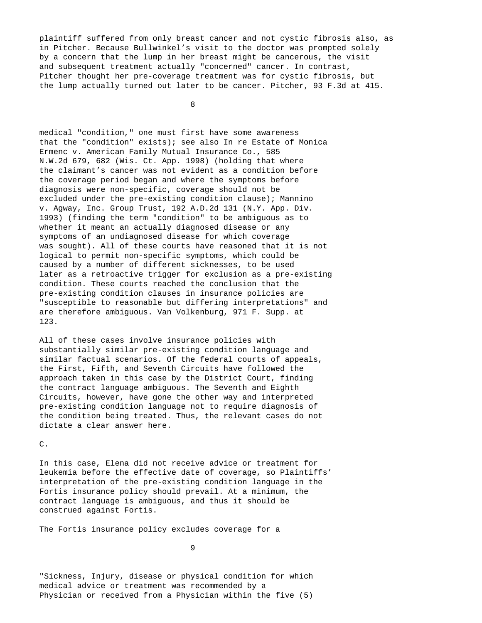plaintiff suffered from only breast cancer and not cystic fibrosis also, as in Pitcher. Because Bullwinkel's visit to the doctor was prompted solely by a concern that the lump in her breast might be cancerous, the visit and subsequent treatment actually "concerned" cancer. In contrast, Pitcher thought her pre-coverage treatment was for cystic fibrosis, but the lump actually turned out later to be cancer. Pitcher, 93 F.3d at 415.

8

medical "condition," one must first have some awareness that the "condition" exists); see also In re Estate of Monica Ermenc v. American Family Mutual Insurance Co., 585 N.W.2d 679, 682 (Wis. Ct. App. 1998) (holding that where the claimant's cancer was not evident as a condition before the coverage period began and where the symptoms before diagnosis were non-specific, coverage should not be excluded under the pre-existing condition clause); Mannino v. Agway, Inc. Group Trust, 192 A.D.2d 131 (N.Y. App. Div. 1993) (finding the term "condition" to be ambiguous as to whether it meant an actually diagnosed disease or any symptoms of an undiagnosed disease for which coverage was sought). All of these courts have reasoned that it is not logical to permit non-specific symptoms, which could be caused by a number of different sicknesses, to be used later as a retroactive trigger for exclusion as a pre-existing condition. These courts reached the conclusion that the pre-existing condition clauses in insurance policies are "susceptible to reasonable but differing interpretations" and are therefore ambiguous. Van Volkenburg, 971 F. Supp. at 123.

All of these cases involve insurance policies with substantially similar pre-existing condition language and similar factual scenarios. Of the federal courts of appeals, the First, Fifth, and Seventh Circuits have followed the approach taken in this case by the District Court, finding the contract language ambiguous. The Seventh and Eighth Circuits, however, have gone the other way and interpreted pre-existing condition language not to require diagnosis of the condition being treated. Thus, the relevant cases do not dictate a clear answer here.

#### C.

In this case, Elena did not receive advice or treatment for leukemia before the effective date of coverage, so Plaintiffs' interpretation of the pre-existing condition language in the Fortis insurance policy should prevail. At a minimum, the contract language is ambiguous, and thus it should be construed against Fortis.

The Fortis insurance policy excludes coverage for a

9

"Sickness, Injury, disease or physical condition for which medical advice or treatment was recommended by a Physician or received from a Physician within the five (5)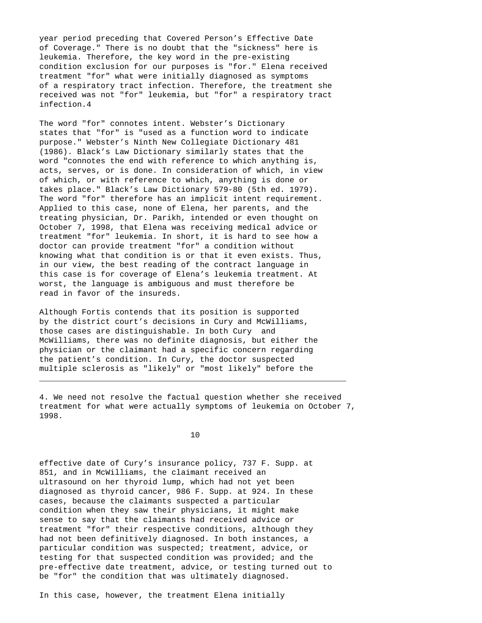year period preceding that Covered Person's Effective Date of Coverage." There is no doubt that the "sickness" here is leukemia. Therefore, the key word in the pre-existing condition exclusion for our purposes is "for." Elena received treatment "for" what were initially diagnosed as symptoms of a respiratory tract infection. Therefore, the treatment she received was not "for" leukemia, but "for" a respiratory tract infection.4

The word "for" connotes intent. Webster's Dictionary states that "for" is "used as a function word to indicate purpose." Webster's Ninth New Collegiate Dictionary 481 (1986). Black's Law Dictionary similarly states that the word "connotes the end with reference to which anything is, acts, serves, or is done. In consideration of which, in view of which, or with reference to which, anything is done or takes place." Black's Law Dictionary 579-80 (5th ed. 1979). The word "for" therefore has an implicit intent requirement. Applied to this case, none of Elena, her parents, and the treating physician, Dr. Parikh, intended or even thought on October 7, 1998, that Elena was receiving medical advice or treatment "for" leukemia. In short, it is hard to see how a doctor can provide treatment "for" a condition without knowing what that condition is or that it even exists. Thus, in our view, the best reading of the contract language in this case is for coverage of Elena's leukemia treatment. At worst, the language is ambiguous and must therefore be read in favor of the insureds.

Although Fortis contends that its position is supported by the district court's decisions in Cury and McWilliams, those cases are distinguishable. In both Cury and McWilliams, there was no definite diagnosis, but either the physician or the claimant had a specific concern regarding the patient's condition. In Cury, the doctor suspected multiple sclerosis as "likely" or "most likely" before the

4. We need not resolve the factual question whether she received treatment for what were actually symptoms of leukemia on October 7, 1998.

 $\_$  ,  $\_$  ,  $\_$  ,  $\_$  ,  $\_$  ,  $\_$  ,  $\_$  ,  $\_$  ,  $\_$  ,  $\_$  ,  $\_$  ,  $\_$  ,  $\_$  ,  $\_$  ,  $\_$  ,  $\_$  ,  $\_$  ,  $\_$  ,  $\_$  ,  $\_$  ,  $\_$  ,  $\_$  ,  $\_$  ,  $\_$  ,  $\_$  ,  $\_$  ,  $\_$  ,  $\_$  ,  $\_$  ,  $\_$  ,  $\_$  ,  $\_$  ,  $\_$  ,  $\_$  ,  $\_$  ,  $\_$  ,  $\_$  ,

10

effective date of Cury's insurance policy, 737 F. Supp. at 851, and in McWilliams, the claimant received an ultrasound on her thyroid lump, which had not yet been diagnosed as thyroid cancer, 986 F. Supp. at 924. In these cases, because the claimants suspected a particular condition when they saw their physicians, it might make sense to say that the claimants had received advice or treatment "for" their respective conditions, although they had not been definitively diagnosed. In both instances, a particular condition was suspected; treatment, advice, or testing for that suspected condition was provided; and the pre-effective date treatment, advice, or testing turned out to be "for" the condition that was ultimately diagnosed.

In this case, however, the treatment Elena initially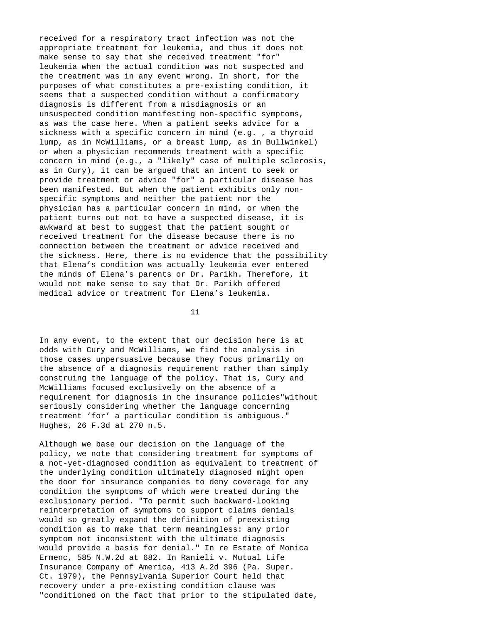received for a respiratory tract infection was not the appropriate treatment for leukemia, and thus it does not make sense to say that she received treatment "for" leukemia when the actual condition was not suspected and the treatment was in any event wrong. In short, for the purposes of what constitutes a pre-existing condition, it seems that a suspected condition without a confirmatory diagnosis is different from a misdiagnosis or an unsuspected condition manifesting non-specific symptoms, as was the case here. When a patient seeks advice for a sickness with a specific concern in mind (e.g. , a thyroid lump, as in McWilliams, or a breast lump, as in Bullwinkel) or when a physician recommends treatment with a specific concern in mind (e.g., a "likely" case of multiple sclerosis, as in Cury), it can be argued that an intent to seek or provide treatment or advice "for" a particular disease has been manifested. But when the patient exhibits only nonspecific symptoms and neither the patient nor the physician has a particular concern in mind, or when the patient turns out not to have a suspected disease, it is awkward at best to suggest that the patient sought or received treatment for the disease because there is no connection between the treatment or advice received and the sickness. Here, there is no evidence that the possibility that Elena's condition was actually leukemia ever entered the minds of Elena's parents or Dr. Parikh. Therefore, it would not make sense to say that Dr. Parikh offered medical advice or treatment for Elena's leukemia.

11

In any event, to the extent that our decision here is at odds with Cury and McWilliams, we find the analysis in those cases unpersuasive because they focus primarily on the absence of a diagnosis requirement rather than simply construing the language of the policy. That is, Cury and McWilliams focused exclusively on the absence of a requirement for diagnosis in the insurance policies"without seriously considering whether the language concerning treatment 'for' a particular condition is ambiguous." Hughes, 26 F.3d at 270 n.5.

Although we base our decision on the language of the policy, we note that considering treatment for symptoms of a not-yet-diagnosed condition as equivalent to treatment of the underlying condition ultimately diagnosed might open the door for insurance companies to deny coverage for any condition the symptoms of which were treated during the exclusionary period. "To permit such backward-looking reinterpretation of symptoms to support claims denials would so greatly expand the definition of preexisting condition as to make that term meaningless: any prior symptom not inconsistent with the ultimate diagnosis would provide a basis for denial." In re Estate of Monica Ermenc, 585 N.W.2d at 682. In Ranieli v. Mutual Life Insurance Company of America, 413 A.2d 396 (Pa. Super. Ct. 1979), the Pennsylvania Superior Court held that recovery under a pre-existing condition clause was "conditioned on the fact that prior to the stipulated date,